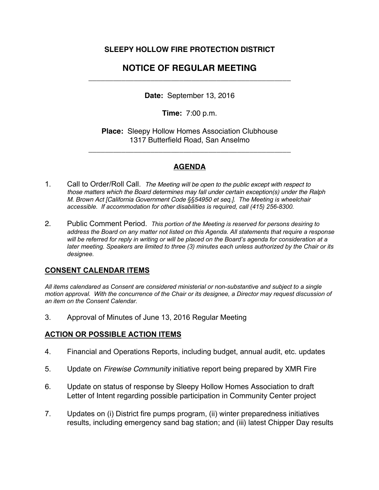# **SLEEPY HOLLOW FIRE PROTECTION DISTRICT**

# **NOTICE OF REGULAR MEETING**  \_\_\_\_\_\_\_\_\_\_\_\_\_\_\_\_\_\_\_\_\_\_\_\_\_\_\_\_\_\_\_\_\_\_\_\_\_\_\_\_\_\_\_\_\_\_\_\_\_

**Date:** September 13, 2016

**Time:** 7:00 p.m.

**Place:** Sleepy Hollow Homes Association Clubhouse 1317 Butterfield Road, San Anselmo

\_\_\_\_\_\_\_\_\_\_\_\_\_\_\_\_\_\_\_\_\_\_\_\_\_\_\_\_\_\_\_\_\_\_\_\_\_\_\_\_\_\_\_\_\_\_\_\_\_

## **AGENDA**

- 1. Call to Order/Roll Call. *The Meeting will be open to the public except with respect to those matters which the Board determines may fall under certain exception(s) under the Ralph M. Brown Act [California Government Code §§54950 et seq.]. The Meeting is wheelchair accessible. If accommodation for other disabilities is required, call (415) 256-8300.*
- 2. Public Comment Period. *This portion of the Meeting is reserved for persons desiring to address the Board on any matter not listed on this Agenda. All statements that require a response will be referred for reply in writing or will be placed on the Board's agenda for consideration at a later meeting. Speakers are limited to three (3) minutes each unless authorized by the Chair or its designee.*

### **CONSENT CALENDAR ITEMS**

*All items calendared as Consent are considered ministerial or non-substantive and subject to a single motion approval. With the concurrence of the Chair or its designee, a Director may request discussion of an item on the Consent Calendar.*

3. Approval of Minutes of June 13, 2016 Regular Meeting

# **ACTION OR POSSIBLE ACTION ITEMS**

- 4. Financial and Operations Reports, including budget, annual audit, etc. updates
- 5. Update on *Firewise Community* initiative report being prepared by XMR Fire
- 6. Update on status of response by Sleepy Hollow Homes Association to draft Letter of Intent regarding possible participation in Community Center project
- 7. Updates on (i) District fire pumps program, (ii) winter preparedness initiatives results, including emergency sand bag station; and (iii) latest Chipper Day results